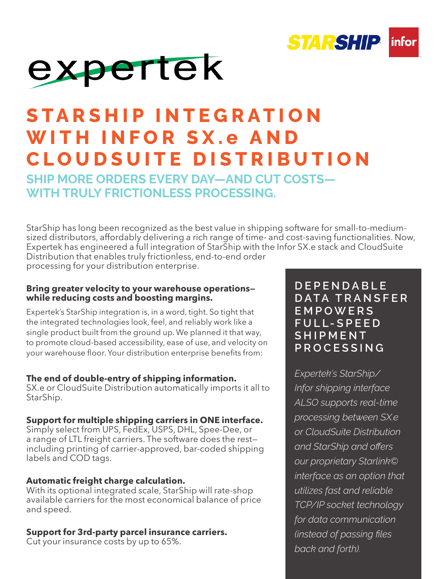



## **S T A R S H I P I N T E G R A T I O N WITH INFOR SX.e A N D CLOUDSUITE DISTRIBUTION**

**SHIP MORE ORDERS EVERY DAY—AND CUT COSTS— WITH TRULY FRICTIONLESS PROCESSING.** 

StarShip has long been recognized as the best value in shipping software for small-to-mediumsized distributors, affordably delivering a rich range of time- and cost-saving functionalities. Now, Expertek has engineered a full integration of StarShip with the Infor SX.e stack and CloudSuite Distribution that enables truly frictionless, end-to-end order processing for your distribution enterprise.

#### **Bring greater velocity to your warehouse operations while reducing costs and boosting margins.**

Expertek's StarShip integration is, in a word, tight. So tight that the integrated technologies look, feel, and reliably work like a single product built from the ground up. We planned it that way, to promote cloud-based accessibility, ease of use, and velocity on your warehouse floor. Your distribution enterprise benefits from:

#### **The end of double-entry of shipping information.**

SX.e or CloudSuite Distribution automatically imports it all to StarShip.

#### **Support for multiple shipping carriers in ONE interface.**

Simply select from UPS, FedEx, USPS, DHL, Spee-Dee, or a range of LTL freight carriers. The software does the rest including printing of carrier-approved, bar-coded shipping labels and COD tags.

#### **Automatic freight charge calculation.**

With its optional integrated scale, StarShip will rate-shop available carriers for the most economical balance of price and speed.

#### **Support for 3rd-party parcel insurance carriers.**

Cut your insurance costs by up to 65%.

#### **D E P E N D A B L E D A T A T R A N S F E R E M P O W E R S F U L L- S P E E D S H I P M E N T PROCESSING**

*Expertek's StarShip/ Infor shipping interface ALSO supports real-time processing between SX.e or CloudSuite Distribution and StarShip and offers our proprietary Starlink© interface as an option that utilizes fast and reliable TCP/IP socket technology for data communication (instead of passing files back and forth).*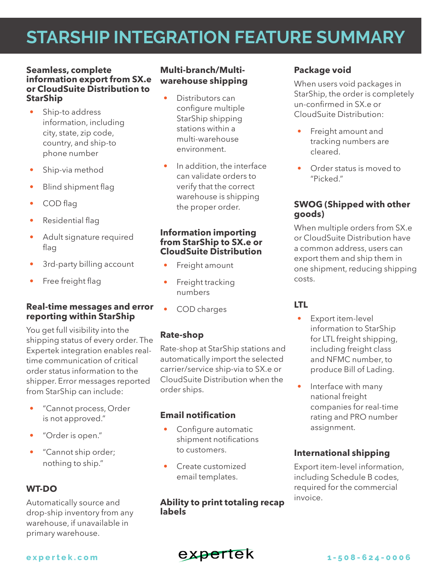### **STARSHIP INTEGRATION FEATURE SUMMARY**

#### **Seamless, complete information export from SX.e or CloudSuite Distribution to StarShip**

- Ship-to address information, including city, state, zip code, country, and ship-to phone number
- Ship-via method
- Blind shipment flag
- COD flag
- Residential flag
- Adult signature required flag
- 3rd-party billing account
- Free freight flag

#### **Real-time messages and error reporting within StarShip**

You get full visibility into the shipping status of every order. The Expertek integration enables realtime communication of critical order status information to the shipper. Error messages reported from StarShip can include:

- "Cannot process, Order is not approved."
- "Order is open."
- "Cannot ship order; nothing to ship."

#### **WT-DO**

Automatically source and drop-ship inventory from any warehouse, if unavailable in primary warehouse.

#### **Multi-branch/Multiwarehouse shipping**

- Distributors can configure multiple StarShip shipping stations within a multi-warehouse environment.
- In addition, the interface can validate orders to verify that the correct warehouse is shipping the proper order.

#### **Information importing from StarShip to SX.e or CloudSuite Distribution**

- Freight amount
- Freight tracking numbers
- COD charges

#### **Rate-shop**

Rate-shop at StarShip stations and automatically import the selected carrier/service ship-via to SX.e or CloudSuite Distribution when the order ships.

#### **Email notification**

- Configure automatic shipment notifications to customers.
- Create customized email templates.

**Ability to print totaling recap labels**

#### **Package void**

When users void packages in StarShip, the order is completely un-confirmed in SX.e or CloudSuite Distribution:

- Freight amount and tracking numbers are cleared.
- Order status is moved to "Picked."

#### **SWOG (Shipped with other goods)**

When multiple orders from SX.e or CloudSuite Distribution have a common address, users can export them and ship them in one shipment, reducing shipping costs.

#### **LTL**

- Export item-level information to StarShip for LTL freight shipping, including freight class and NFMC number, to produce Bill of Lading.
- Interface with many national freight companies for real-time rating and PRO number assignment.

#### **International shipping**

Export item-level information, including Schedule B codes, required for the commercial invoice.